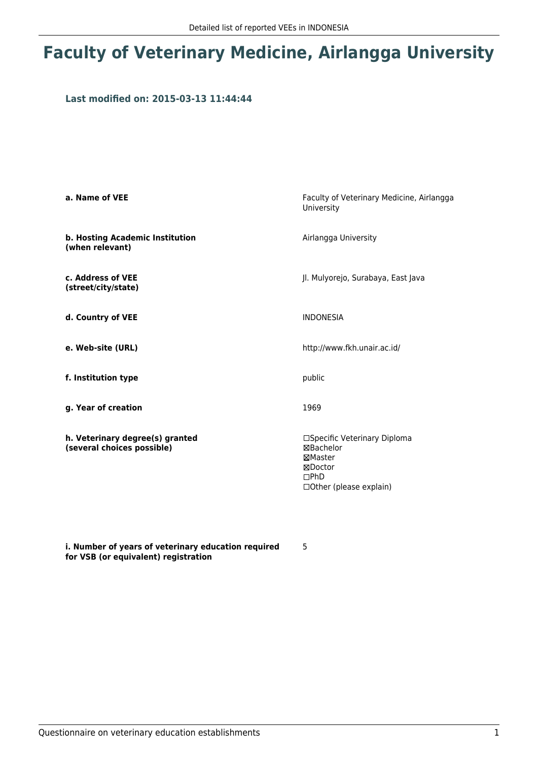## **Faculty of Veterinary Medicine, Airlangga University**

### **Last modified on: 2015-03-13 11:44:44**

| a. Name of VEE                                                | Faculty of Veterinary Medicine, Airlangga<br>University                                                   |
|---------------------------------------------------------------|-----------------------------------------------------------------------------------------------------------|
| b. Hosting Academic Institution<br>(when relevant)            | Airlangga University                                                                                      |
| c. Address of VEE<br>(street/city/state)                      | Jl. Mulyorejo, Surabaya, East Java                                                                        |
| d. Country of VEE                                             | <b>INDONESIA</b>                                                                                          |
| e. Web-site (URL)                                             | http://www.fkh.unair.ac.id/                                                                               |
| f. Institution type                                           | public                                                                                                    |
| g. Year of creation                                           | 1969                                                                                                      |
| h. Veterinary degree(s) granted<br>(several choices possible) | □Specific Veterinary Diploma<br>⊠Bachelor<br>⊠Master<br>⊠Doctor<br>$\Box$ PhD<br>□ Other (please explain) |

**i. Number of years of veterinary education required for VSB (or equivalent) registration**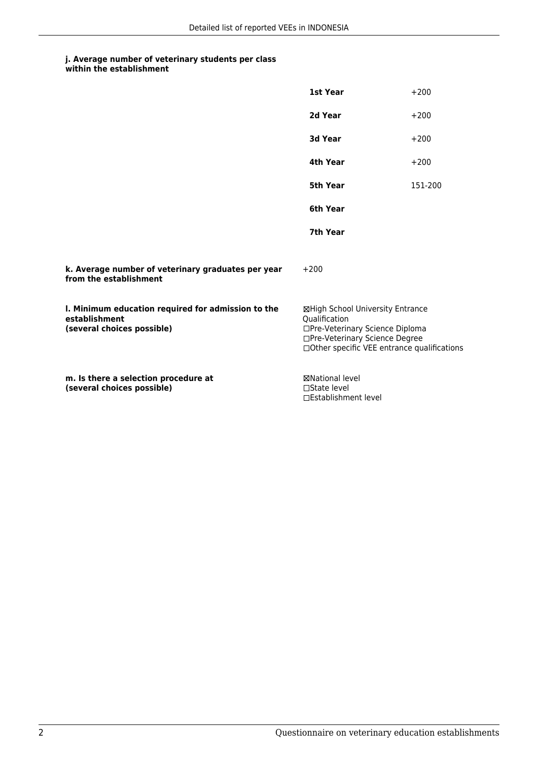|                                                                                                   | 1st Year                                                                                                                                                               | $+200$  |
|---------------------------------------------------------------------------------------------------|------------------------------------------------------------------------------------------------------------------------------------------------------------------------|---------|
|                                                                                                   | 2d Year                                                                                                                                                                | $+200$  |
|                                                                                                   | 3d Year                                                                                                                                                                | $+200$  |
|                                                                                                   | 4th Year                                                                                                                                                               | $+200$  |
|                                                                                                   | 5th Year                                                                                                                                                               | 151-200 |
|                                                                                                   | 6th Year                                                                                                                                                               |         |
|                                                                                                   | 7th Year                                                                                                                                                               |         |
| k. Average number of veterinary graduates per year<br>from the establishment                      | $+200$                                                                                                                                                                 |         |
| I. Minimum education required for admission to the<br>establishment<br>(several choices possible) | ⊠High School University Entrance<br>Oualification<br>□Pre-Veterinary Science Diploma<br>□Pre-Veterinary Science Degree<br>□ Other specific VEE entrance qualifications |         |
| m. Is there a selection procedure at<br>(several choices possible)                                | <b>⊠National level</b><br>$\Box$ State level<br>□Establishment level                                                                                                   |         |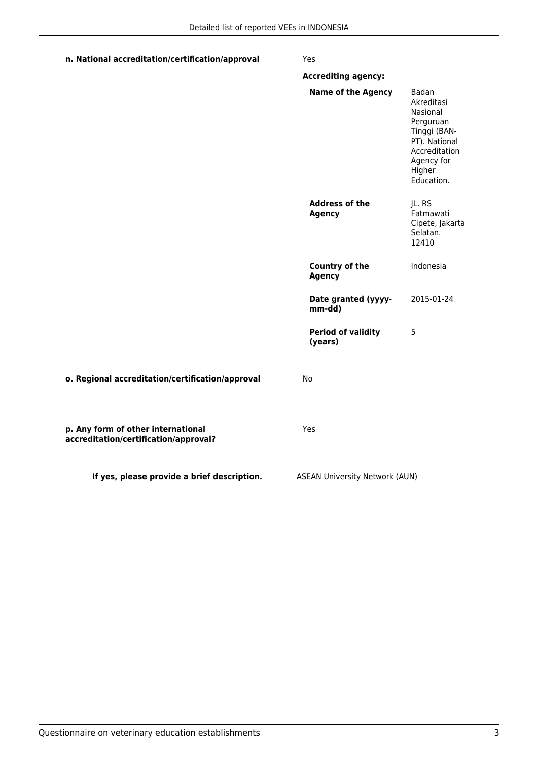### **n. National accreditation/certification/approval** Yes

|                                                                             | <b>Accrediting agency:</b>             |                                                                                                                                      |
|-----------------------------------------------------------------------------|----------------------------------------|--------------------------------------------------------------------------------------------------------------------------------------|
|                                                                             | <b>Name of the Agency</b>              | Badan<br>Akreditasi<br>Nasional<br>Perguruan<br>Tinggi (BAN-<br>PT). National<br>Accreditation<br>Agency for<br>Higher<br>Education. |
|                                                                             | <b>Address of the</b><br><b>Agency</b> | JL. RS<br>Fatmawati<br>Cipete, Jakarta<br>Selatan.<br>12410                                                                          |
|                                                                             | <b>Country of the</b><br><b>Agency</b> | Indonesia                                                                                                                            |
|                                                                             | Date granted (yyyy-<br>mm-dd)          | 2015-01-24                                                                                                                           |
|                                                                             | <b>Period of validity</b><br>(years)   | 5                                                                                                                                    |
| o. Regional accreditation/certification/approval                            | No                                     |                                                                                                                                      |
| p. Any form of other international<br>accreditation/certification/approval? | Yes                                    |                                                                                                                                      |
| If yes, please provide a brief description.                                 | <b>ASEAN University Network (AUN)</b>  |                                                                                                                                      |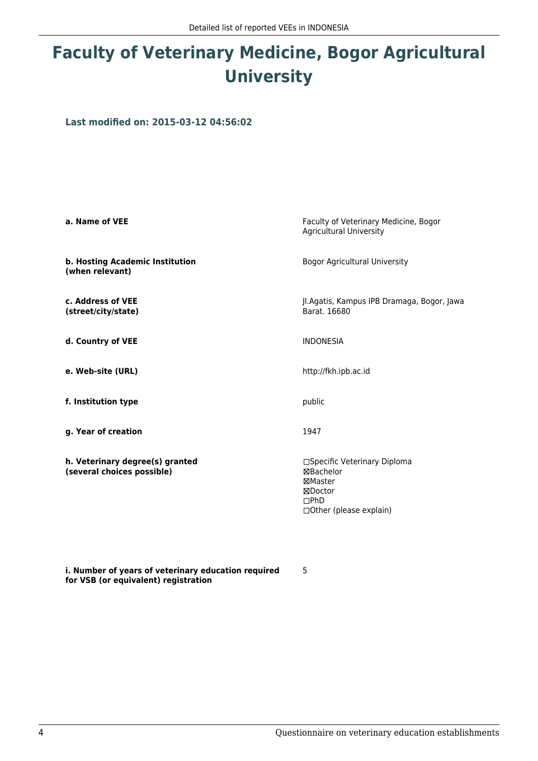# **Faculty of Veterinary Medicine, Bogor Agricultural University**

**Last modified on: 2015-03-12 04:56:02**

| a. Name of VEE                                                | Faculty of Veterinary Medicine, Bogor<br><b>Agricultural University</b>                                           |
|---------------------------------------------------------------|-------------------------------------------------------------------------------------------------------------------|
| b. Hosting Academic Institution<br>(when relevant)            | <b>Bogor Agricultural University</b>                                                                              |
| c. Address of VEE<br>(street/city/state)                      | Jl.Agatis, Kampus IPB Dramaga, Bogor, Jawa<br>Barat, 16680                                                        |
| d. Country of VEE                                             | <b>INDONESIA</b>                                                                                                  |
| e. Web-site (URL)                                             | http://fkh.ipb.ac.id                                                                                              |
| f. Institution type                                           | public                                                                                                            |
| g. Year of creation                                           | 1947                                                                                                              |
| h. Veterinary degree(s) granted<br>(several choices possible) | □Specific Veterinary Diploma<br>⊠Bachelor<br>⊠Master<br>⊠Doctor<br>$\square$ PhD<br>$\Box$ Other (please explain) |

5

**i. Number of years of veterinary education required for VSB (or equivalent) registration**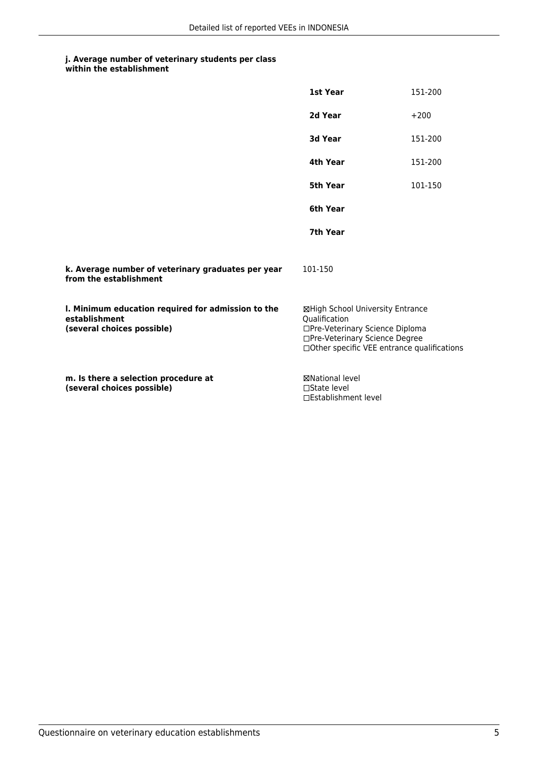| within the establishment |
|--------------------------|
|                          |

|                                                                                                   | 1st Year                                                                                                                                                              | 151-200 |
|---------------------------------------------------------------------------------------------------|-----------------------------------------------------------------------------------------------------------------------------------------------------------------------|---------|
|                                                                                                   | 2d Year                                                                                                                                                               | $+200$  |
|                                                                                                   | 3d Year                                                                                                                                                               | 151-200 |
|                                                                                                   | 4th Year                                                                                                                                                              | 151-200 |
|                                                                                                   | 5th Year                                                                                                                                                              | 101-150 |
|                                                                                                   | 6th Year                                                                                                                                                              |         |
|                                                                                                   | 7th Year                                                                                                                                                              |         |
| k. Average number of veterinary graduates per year<br>from the establishment                      | 101-150                                                                                                                                                               |         |
| I. Minimum education required for admission to the<br>establishment<br>(several choices possible) | ⊠High School University Entrance<br>Qualification<br>□Pre-Veterinary Science Diploma<br>□Pre-Veterinary Science Degree<br>□Other specific VEE entrance qualifications |         |
| m. Is there a selection procedure at<br>(several choices possible)                                | <b>⊠National level</b><br>$\Box$ State level<br>□Establishment level                                                                                                  |         |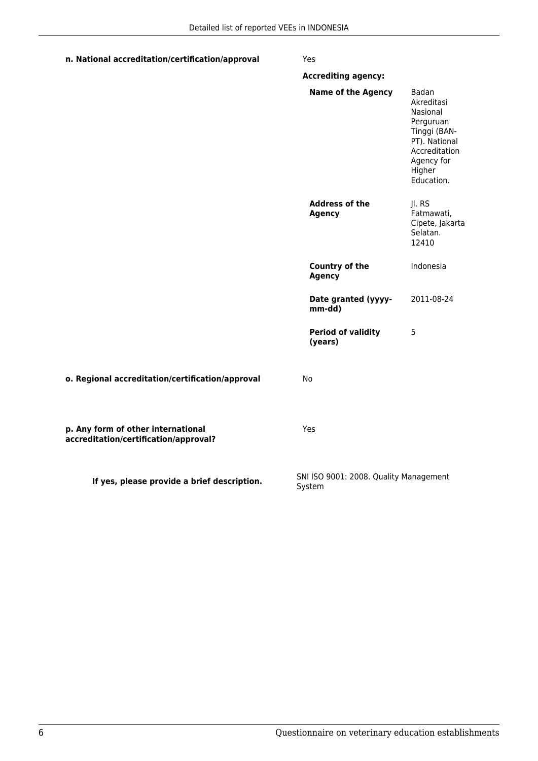### **n. National accreditation/certification/approval** Yes

|                                                                             | <b>Accrediting agency:</b>                       |                                                                                                                                      |
|-----------------------------------------------------------------------------|--------------------------------------------------|--------------------------------------------------------------------------------------------------------------------------------------|
|                                                                             | <b>Name of the Agency</b>                        | Badan<br>Akreditasi<br>Nasional<br>Perguruan<br>Tinggi (BAN-<br>PT). National<br>Accreditation<br>Agency for<br>Higher<br>Education. |
|                                                                             | <b>Address of the</b><br><b>Agency</b>           | Jl. RS<br>Fatmawati,<br>Cipete, Jakarta<br>Selatan.<br>12410                                                                         |
|                                                                             | <b>Country of the</b><br><b>Agency</b>           | Indonesia                                                                                                                            |
|                                                                             | Date granted (yyyy-<br>mm-dd)                    | 2011-08-24                                                                                                                           |
|                                                                             | <b>Period of validity</b><br>(years)             | 5                                                                                                                                    |
| o. Regional accreditation/certification/approval                            | No                                               |                                                                                                                                      |
| p. Any form of other international<br>accreditation/certification/approval? | Yes                                              |                                                                                                                                      |
| If yes, please provide a brief description.                                 | SNI ISO 9001: 2008. Quality Management<br>System |                                                                                                                                      |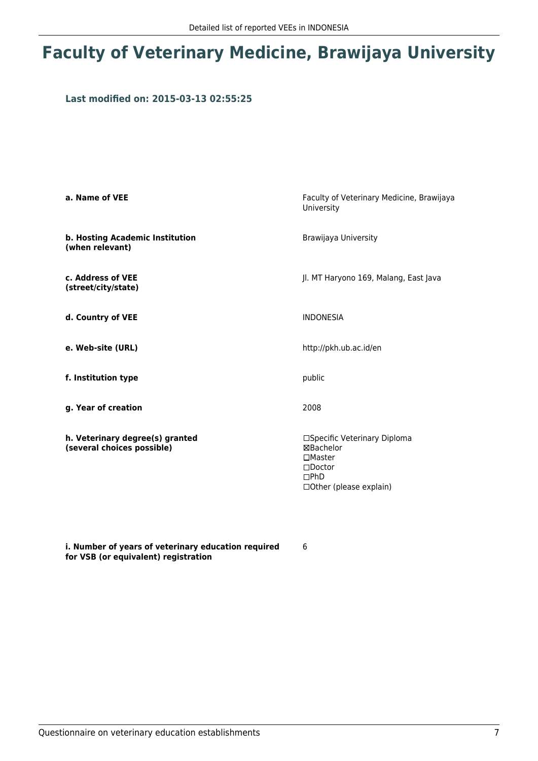## **Faculty of Veterinary Medicine, Brawijaya University**

### **Last modified on: 2015-03-13 02:55:25**

| a. Name of VEE                                                | Faculty of Veterinary Medicine, Brawijaya<br>University                                                            |
|---------------------------------------------------------------|--------------------------------------------------------------------------------------------------------------------|
| b. Hosting Academic Institution<br>(when relevant)            | Brawijaya University                                                                                               |
| c. Address of VEE<br>(street/city/state)                      | Jl. MT Haryono 169, Malang, East Java                                                                              |
| d. Country of VEE                                             | <b>INDONESIA</b>                                                                                                   |
| e. Web-site (URL)                                             | http://pkh.ub.ac.id/en                                                                                             |
| f. Institution type                                           | public                                                                                                             |
| g. Year of creation                                           | 2008                                                                                                               |
| h. Veterinary degree(s) granted<br>(several choices possible) | □Specific Veterinary Diploma<br>⊠Bachelor<br>$\Box$ Master<br>$\square$ Doctor<br>DPhD<br>□ Other (please explain) |

**i. Number of years of veterinary education required for VSB (or equivalent) registration**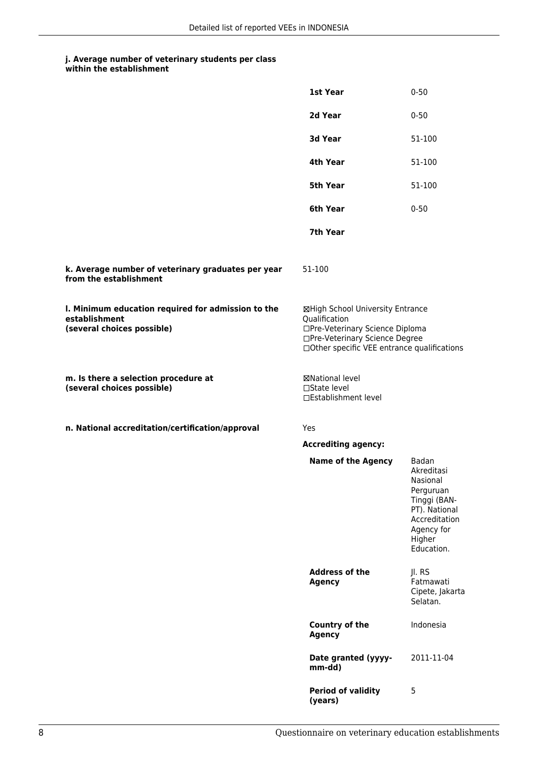|                                                                                                   | 1st Year                                                                                                                                                              | $0 - 50$                                                                                                                             |
|---------------------------------------------------------------------------------------------------|-----------------------------------------------------------------------------------------------------------------------------------------------------------------------|--------------------------------------------------------------------------------------------------------------------------------------|
|                                                                                                   | 2d Year                                                                                                                                                               | $0 - 50$                                                                                                                             |
|                                                                                                   | 3d Year                                                                                                                                                               | 51-100                                                                                                                               |
|                                                                                                   | 4th Year                                                                                                                                                              | 51-100                                                                                                                               |
|                                                                                                   | 5th Year                                                                                                                                                              | 51-100                                                                                                                               |
|                                                                                                   | 6th Year                                                                                                                                                              | $0 - 50$                                                                                                                             |
|                                                                                                   | 7th Year                                                                                                                                                              |                                                                                                                                      |
| k. Average number of veterinary graduates per year<br>from the establishment                      | 51-100                                                                                                                                                                |                                                                                                                                      |
| I. Minimum education required for admission to the<br>establishment<br>(several choices possible) | ⊠High School University Entrance<br>Qualification<br>□Pre-Veterinary Science Diploma<br>□Pre-Veterinary Science Degree<br>□Other specific VEE entrance qualifications |                                                                                                                                      |
| m. Is there a selection procedure at<br>(several choices possible)                                | ⊠National level<br>$\square$ State level<br>□Establishment level                                                                                                      |                                                                                                                                      |
| n. National accreditation/certification/approval                                                  | <b>Yes</b>                                                                                                                                                            |                                                                                                                                      |
|                                                                                                   | <b>Accrediting agency:</b>                                                                                                                                            |                                                                                                                                      |
|                                                                                                   | <b>Name of the Agency</b>                                                                                                                                             | Badan<br>Akreditasi<br>Nasional<br>Perguruan<br>Tinggi (BAN-<br>PT). National<br>Accreditation<br>Agency for<br>Higher<br>Education. |
|                                                                                                   | <b>Address of the</b><br><b>Agency</b>                                                                                                                                | Jl. RS<br>Fatmawati<br>Cipete, Jakarta<br>Selatan.                                                                                   |
|                                                                                                   | Country of the<br><b>Agency</b>                                                                                                                                       | Indonesia                                                                                                                            |
|                                                                                                   | Date granted (yyyy-<br>mm-dd)                                                                                                                                         | 2011-11-04                                                                                                                           |
|                                                                                                   | <b>Period of validity</b><br>(years)                                                                                                                                  | 5                                                                                                                                    |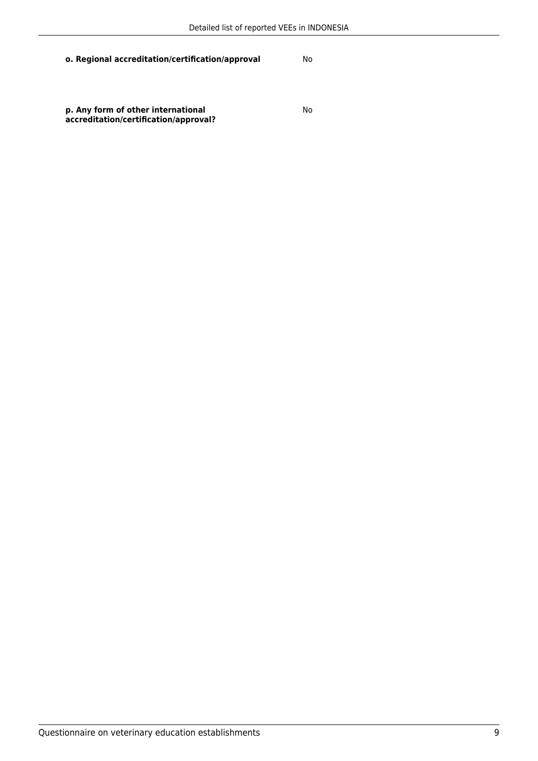**o. Regional accreditation/certification/approval** No

**p. Any form of other international accreditation/certification/approval?** No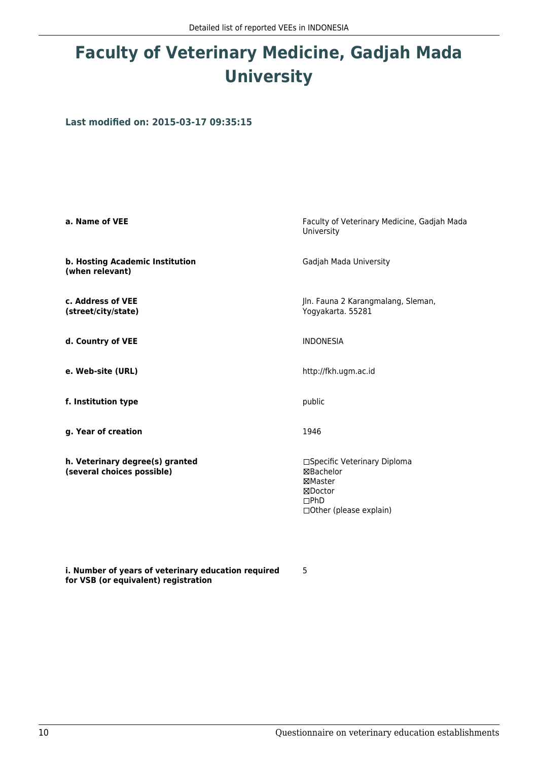# **Faculty of Veterinary Medicine, Gadjah Mada University**

**Last modified on: 2015-03-17 09:35:15**

| a. Name of VEE                                                | Faculty of Veterinary Medicine, Gadjah Mada<br>University                                                 |
|---------------------------------------------------------------|-----------------------------------------------------------------------------------------------------------|
| b. Hosting Academic Institution<br>(when relevant)            | Gadjah Mada University                                                                                    |
| c. Address of VEE<br>(street/city/state)                      | Jln. Fauna 2 Karangmalang, Sleman,<br>Yogyakarta. 55281                                                   |
| d. Country of VEE                                             | <b>INDONESIA</b>                                                                                          |
| e. Web-site (URL)                                             | http://fkh.ugm.ac.id                                                                                      |
| f. Institution type                                           | public                                                                                                    |
| g. Year of creation                                           | 1946                                                                                                      |
| h. Veterinary degree(s) granted<br>(several choices possible) | □Specific Veterinary Diploma<br>⊠Bachelor<br>⊠Master<br>⊠Doctor<br>$\Box$ PhD<br>□ Other (please explain) |

**i. Number of years of veterinary education required for VSB (or equivalent) registration**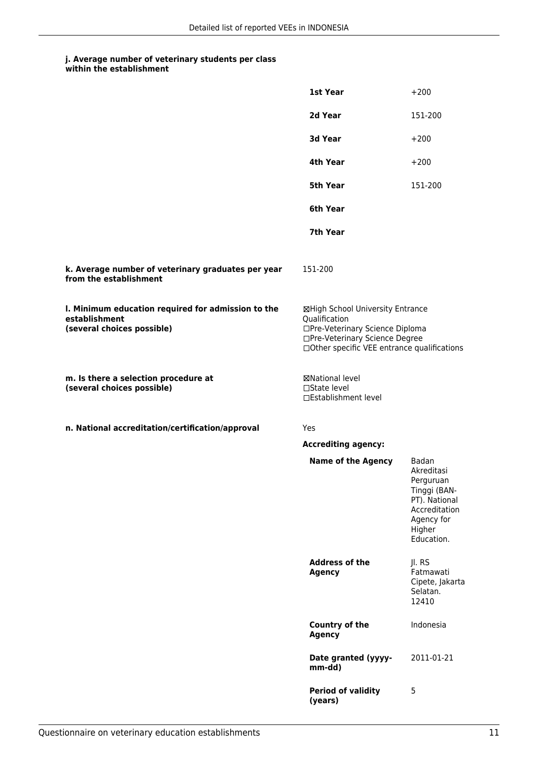|                                                                                                   | 1st Year                                                                                                                                                              | $+200$                                                                                                                   |
|---------------------------------------------------------------------------------------------------|-----------------------------------------------------------------------------------------------------------------------------------------------------------------------|--------------------------------------------------------------------------------------------------------------------------|
|                                                                                                   | 2d Year                                                                                                                                                               | 151-200                                                                                                                  |
|                                                                                                   | 3d Year                                                                                                                                                               | $+200$                                                                                                                   |
|                                                                                                   | 4th Year                                                                                                                                                              | $+200$                                                                                                                   |
|                                                                                                   | 5th Year                                                                                                                                                              | 151-200                                                                                                                  |
|                                                                                                   | 6th Year                                                                                                                                                              |                                                                                                                          |
|                                                                                                   | 7th Year                                                                                                                                                              |                                                                                                                          |
| k. Average number of veterinary graduates per year<br>from the establishment                      | 151-200                                                                                                                                                               |                                                                                                                          |
| I. Minimum education required for admission to the<br>establishment<br>(several choices possible) | ⊠High School University Entrance<br>Qualification<br>□Pre-Veterinary Science Diploma<br>□Pre-Veterinary Science Degree<br>□Other specific VEE entrance qualifications |                                                                                                                          |
| m. Is there a selection procedure at<br>(several choices possible)                                | <b>⊠National level</b><br>□State level<br>□Establishment level                                                                                                        |                                                                                                                          |
| n. National accreditation/certification/approval                                                  | Yes                                                                                                                                                                   |                                                                                                                          |
|                                                                                                   | <b>Accrediting agency:</b>                                                                                                                                            |                                                                                                                          |
|                                                                                                   | <b>Name of the Agency</b>                                                                                                                                             | Badan<br>Akreditasi<br>Perguruan<br>Tinggi (BAN-<br>PT). National<br>Accreditation<br>Agency for<br>Higher<br>Education. |
|                                                                                                   | <b>Address of the</b><br><b>Agency</b>                                                                                                                                | Jl. RS<br>Fatmawati<br>Cipete, Jakarta<br>Selatan.<br>12410                                                              |
|                                                                                                   | Country of the<br><b>Agency</b>                                                                                                                                       | Indonesia                                                                                                                |
|                                                                                                   | Date granted (yyyy-<br>mm-dd)                                                                                                                                         | 2011-01-21                                                                                                               |
|                                                                                                   | <b>Period of validity</b><br>(years)                                                                                                                                  | 5                                                                                                                        |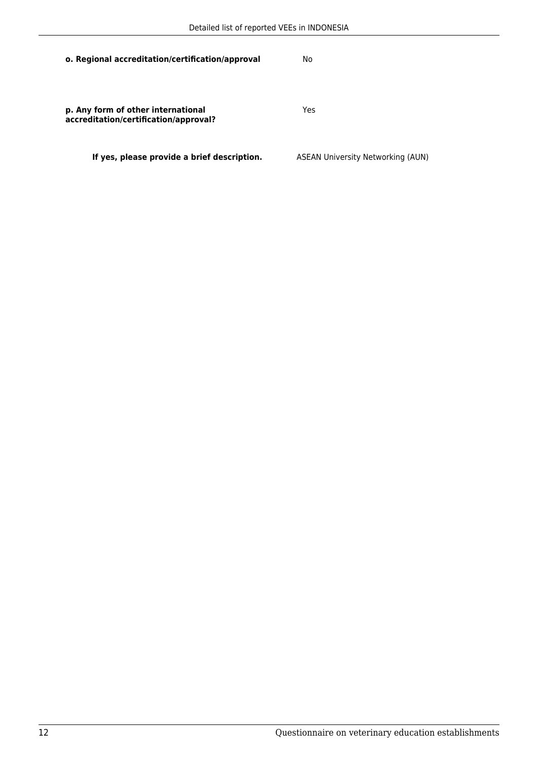| o. Regional accreditation/certification/approval                            | No                                       |
|-----------------------------------------------------------------------------|------------------------------------------|
| p. Any form of other international<br>accreditation/certification/approval? | Yes                                      |
| If yes, please provide a brief description.                                 | <b>ASEAN University Networking (AUN)</b> |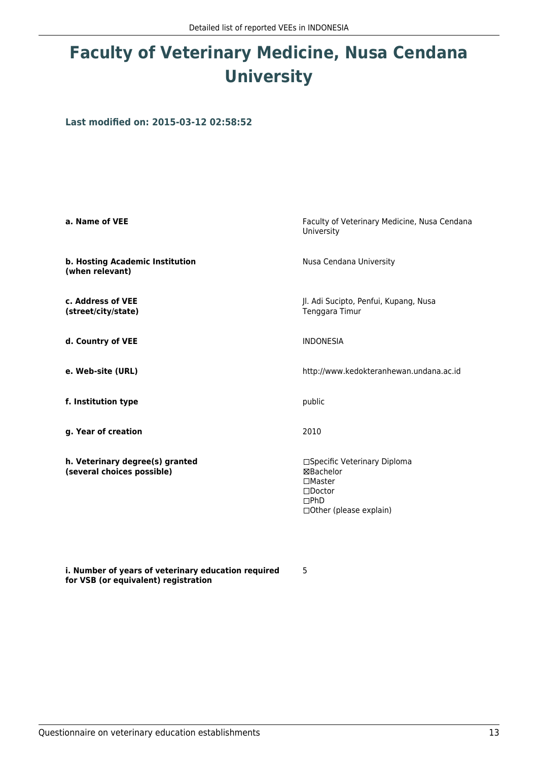# **Faculty of Veterinary Medicine, Nusa Cendana University**

**Last modified on: 2015-03-12 02:58:52**

| a. Name of VEE                                                | Faculty of Veterinary Medicine, Nusa Cendana<br>University                                                                       |  |
|---------------------------------------------------------------|----------------------------------------------------------------------------------------------------------------------------------|--|
| b. Hosting Academic Institution<br>(when relevant)            | Nusa Cendana University                                                                                                          |  |
| c. Address of VEE<br>(street/city/state)                      | Jl. Adi Sucipto, Penfui, Kupang, Nusa<br>Tenggara Timur                                                                          |  |
| d. Country of VEE                                             | <b>INDONESIA</b>                                                                                                                 |  |
| e. Web-site (URL)                                             | http://www.kedokteranhewan.undana.ac.id                                                                                          |  |
| f. Institution type                                           | public                                                                                                                           |  |
| g. Year of creation                                           | 2010                                                                                                                             |  |
| h. Veterinary degree(s) granted<br>(several choices possible) | □Specific Veterinary Diploma<br>⊠Bachelor<br>$\square$ Master<br>$\square$ Doctor<br>$\Box$ PhD<br>$\Box$ Other (please explain) |  |

5

**i. Number of years of veterinary education required for VSB (or equivalent) registration**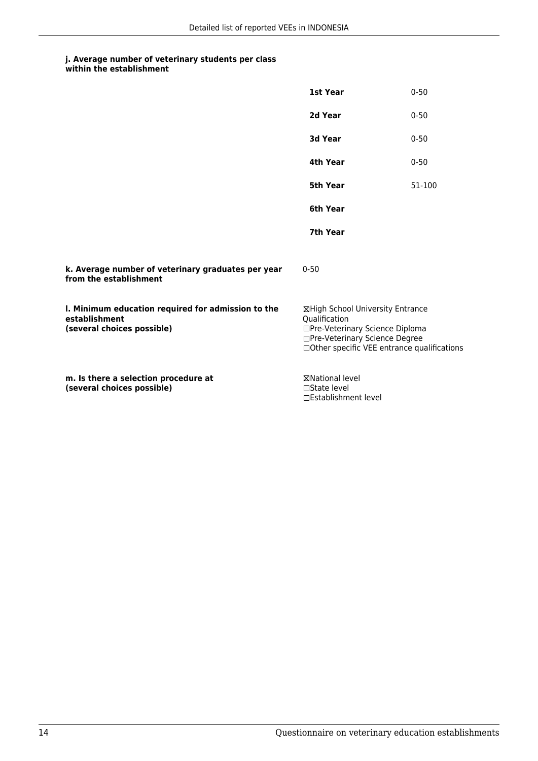**within the establishment**

|                                                                                                   | 1st Year                                                                                                                                                              | $0 - 50$ |
|---------------------------------------------------------------------------------------------------|-----------------------------------------------------------------------------------------------------------------------------------------------------------------------|----------|
|                                                                                                   | 2d Year                                                                                                                                                               | $0 - 50$ |
|                                                                                                   | 3d Year                                                                                                                                                               | $0 - 50$ |
|                                                                                                   | 4th Year                                                                                                                                                              | $0 - 50$ |
|                                                                                                   | 5th Year                                                                                                                                                              | 51-100   |
|                                                                                                   | 6th Year                                                                                                                                                              |          |
|                                                                                                   | 7th Year                                                                                                                                                              |          |
| k. Average number of veterinary graduates per year<br>from the establishment                      | $0 - 50$                                                                                                                                                              |          |
| I. Minimum education required for admission to the<br>establishment<br>(several choices possible) | ⊠High School University Entrance<br>Qualification<br>□Pre-Veterinary Science Diploma<br>□Pre-Veterinary Science Degree<br>□Other specific VEE entrance qualifications |          |
| m. Is there a selection procedure at<br>(several choices possible)                                | <b>⊠National level</b><br>$\Box$ State level<br>□Establishment level                                                                                                  |          |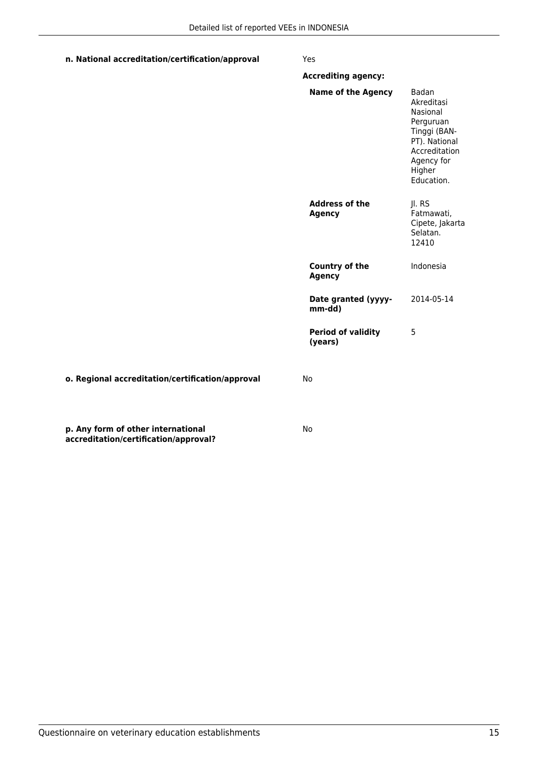### **n. National accreditation/certification/approval** Yes

|                                                                             | <b>Accrediting agency:</b>             |                                                                                                                                      |
|-----------------------------------------------------------------------------|----------------------------------------|--------------------------------------------------------------------------------------------------------------------------------------|
|                                                                             | <b>Name of the Agency</b>              | Badan<br>Akreditasi<br>Nasional<br>Perguruan<br>Tinggi (BAN-<br>PT). National<br>Accreditation<br>Agency for<br>Higher<br>Education. |
|                                                                             | <b>Address of the</b><br><b>Agency</b> | Jl. RS<br>Fatmawati,<br>Cipete, Jakarta<br>Selatan.<br>12410                                                                         |
|                                                                             | Country of the<br><b>Agency</b>        | Indonesia                                                                                                                            |
|                                                                             | Date granted (yyyy-<br>mm-dd)          | 2014-05-14                                                                                                                           |
|                                                                             | <b>Period of validity</b><br>(years)   | 5                                                                                                                                    |
| o. Regional accreditation/certification/approval                            | No                                     |                                                                                                                                      |
| p. Any form of other international<br>accreditation/certification/approval? | No                                     |                                                                                                                                      |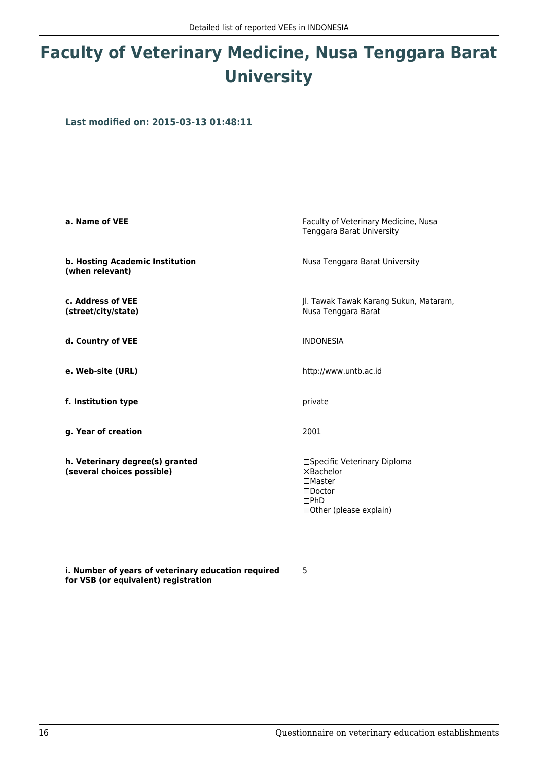# **Faculty of Veterinary Medicine, Nusa Tenggara Barat University**

**Last modified on: 2015-03-13 01:48:11**

| a. Name of VEE                                                | Faculty of Veterinary Medicine, Nusa<br>Tenggara Barat University                                                                    |  |
|---------------------------------------------------------------|--------------------------------------------------------------------------------------------------------------------------------------|--|
| b. Hosting Academic Institution<br>(when relevant)            | Nusa Tenggara Barat University                                                                                                       |  |
| c. Address of VEE<br>(street/city/state)                      | Jl. Tawak Tawak Karang Sukun, Mataram,<br>Nusa Tenggara Barat                                                                        |  |
| d. Country of VEE                                             | <b>INDONESIA</b>                                                                                                                     |  |
| e. Web-site (URL)                                             | http://www.untb.ac.id                                                                                                                |  |
| f. Institution type                                           | private                                                                                                                              |  |
| g. Year of creation                                           | 2001                                                                                                                                 |  |
| h. Veterinary degree(s) granted<br>(several choices possible) | □Specific Veterinary Diploma<br><b>⊠Bachelor</b><br>$\Box$ Master<br>$\square$ Doctor<br>$\Box$ PhD<br>$\Box$ Other (please explain) |  |

**i. Number of years of veterinary education required for VSB (or equivalent) registration**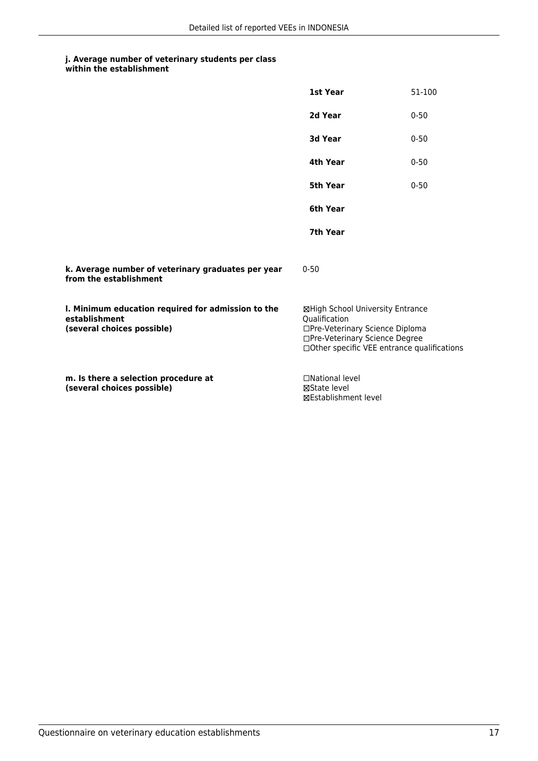**within the establishment**

|                                                                                                   | 1st Year                                                                                                                                                              | 51-100   |
|---------------------------------------------------------------------------------------------------|-----------------------------------------------------------------------------------------------------------------------------------------------------------------------|----------|
|                                                                                                   | 2d Year                                                                                                                                                               | $0 - 50$ |
|                                                                                                   | 3d Year                                                                                                                                                               | $0 - 50$ |
|                                                                                                   | <b>4th Year</b>                                                                                                                                                       | $0 - 50$ |
|                                                                                                   | 5th Year                                                                                                                                                              | $0 - 50$ |
|                                                                                                   | 6th Year                                                                                                                                                              |          |
|                                                                                                   | 7th Year                                                                                                                                                              |          |
| k. Average number of veterinary graduates per year<br>from the establishment                      | $0 - 50$                                                                                                                                                              |          |
| I. Minimum education required for admission to the<br>establishment<br>(several choices possible) | ⊠High School University Entrance<br>Oualification<br>□Pre-Veterinary Science Diploma<br>□Pre-Veterinary Science Degree<br>□Other specific VEE entrance qualifications |          |
| m. Is there a selection procedure at<br>(several choices possible)                                | □National level<br>⊠State level<br><b>⊠Establishment level</b>                                                                                                        |          |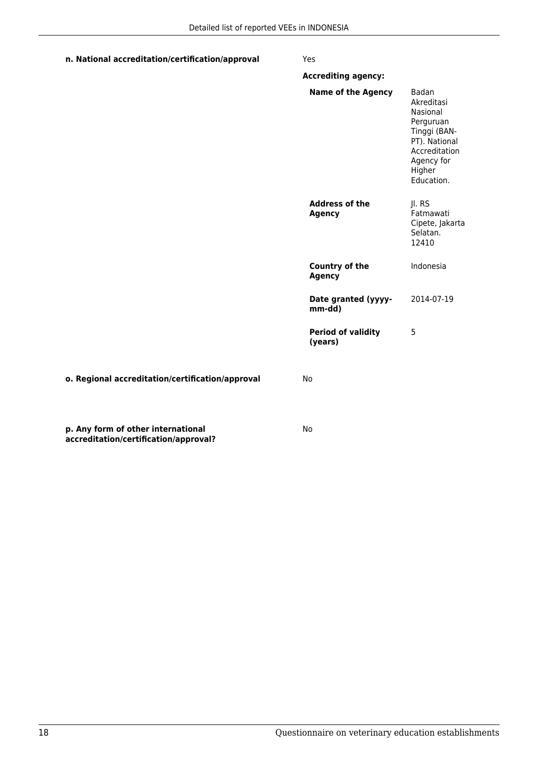### **n. National accreditation/certification/approval** Yes

**accreditation/certification/approval?**

|                                                  | <b>Accrediting agency:</b>             |                                                                                                                                      |
|--------------------------------------------------|----------------------------------------|--------------------------------------------------------------------------------------------------------------------------------------|
|                                                  | <b>Name of the Agency</b>              | Badan<br>Akreditasi<br>Nasional<br>Perguruan<br>Tinggi (BAN-<br>PT). National<br>Accreditation<br>Agency for<br>Higher<br>Education. |
|                                                  | <b>Address of the</b><br><b>Agency</b> | Jl. RS<br>Fatmawati<br>Cipete, Jakarta<br>Selatan.<br>12410                                                                          |
|                                                  | <b>Country of the</b><br><b>Agency</b> | Indonesia                                                                                                                            |
|                                                  | Date granted (yyyy-<br>mm-dd)          | 2014-07-19                                                                                                                           |
|                                                  | <b>Period of validity</b><br>(years)   | 5                                                                                                                                    |
| o. Regional accreditation/certification/approval | No                                     |                                                                                                                                      |
| p. Any form of other international               | No                                     |                                                                                                                                      |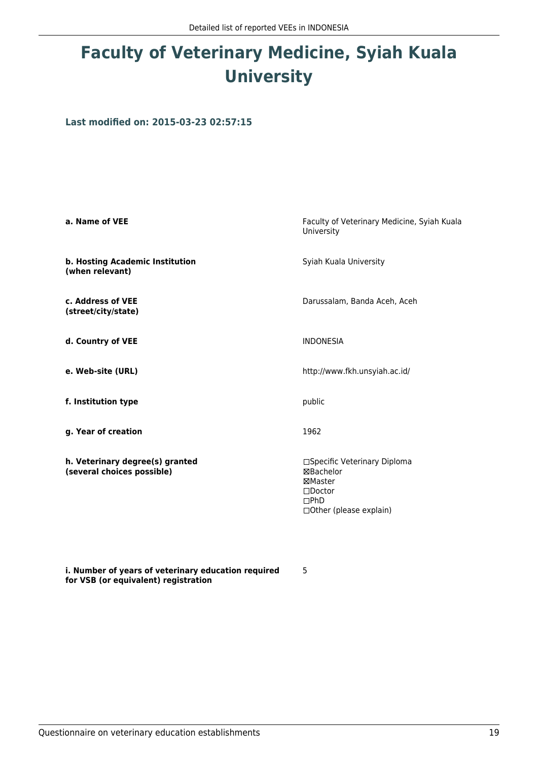# **Faculty of Veterinary Medicine, Syiah Kuala University**

**Last modified on: 2015-03-23 02:57:15**

| a. Name of VEE                                                | Faculty of Veterinary Medicine, Syiah Kuala<br>University                                                    |
|---------------------------------------------------------------|--------------------------------------------------------------------------------------------------------------|
| b. Hosting Academic Institution<br>(when relevant)            | Syiah Kuala University                                                                                       |
| c. Address of VEE<br>(street/city/state)                      | Darussalam, Banda Aceh, Aceh                                                                                 |
| d. Country of VEE                                             | <b>INDONESIA</b>                                                                                             |
| e. Web-site (URL)                                             | http://www.fkh.unsyiah.ac.id/                                                                                |
| f. Institution type                                           | public                                                                                                       |
| g. Year of creation                                           | 1962                                                                                                         |
| h. Veterinary degree(s) granted<br>(several choices possible) | □Specific Veterinary Diploma<br>⊠Bachelor<br>⊠Master<br>$\square$ Doctor<br>DPhD<br>□ Other (please explain) |

**i. Number of years of veterinary education required for VSB (or equivalent) registration**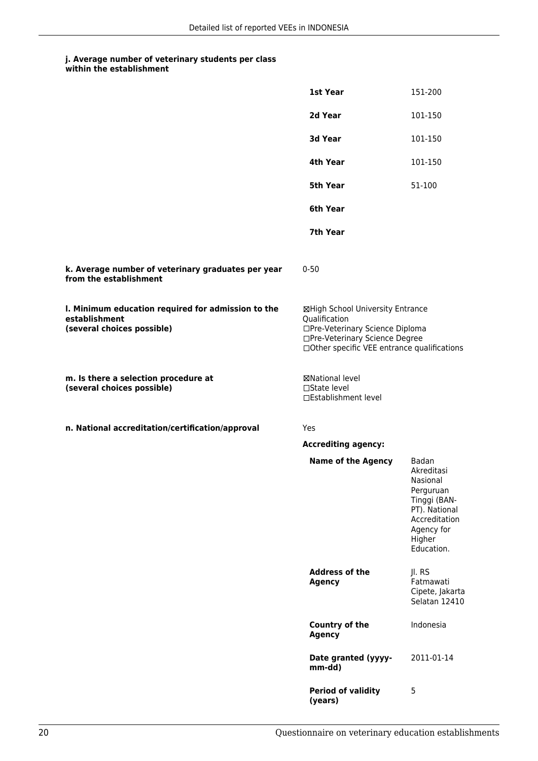|                                                                                                   | <b>1st Year</b>                                                                                                                                                       | 151-200                                                                                                                              |
|---------------------------------------------------------------------------------------------------|-----------------------------------------------------------------------------------------------------------------------------------------------------------------------|--------------------------------------------------------------------------------------------------------------------------------------|
|                                                                                                   | 2d Year                                                                                                                                                               | 101-150                                                                                                                              |
|                                                                                                   | 3d Year                                                                                                                                                               | 101-150                                                                                                                              |
|                                                                                                   | 4th Year                                                                                                                                                              | 101-150                                                                                                                              |
|                                                                                                   | 5th Year                                                                                                                                                              | 51-100                                                                                                                               |
|                                                                                                   | 6th Year                                                                                                                                                              |                                                                                                                                      |
|                                                                                                   | 7th Year                                                                                                                                                              |                                                                                                                                      |
| k. Average number of veterinary graduates per year<br>from the establishment                      | $0 - 50$                                                                                                                                                              |                                                                                                                                      |
| I. Minimum education required for admission to the<br>establishment<br>(several choices possible) | ⊠High School University Entrance<br>Qualification<br>□Pre-Veterinary Science Diploma<br>□Pre-Veterinary Science Degree<br>□Other specific VEE entrance qualifications |                                                                                                                                      |
| m. Is there a selection procedure at<br>(several choices possible)                                | ⊠National level<br>□State level<br>□Establishment level                                                                                                               |                                                                                                                                      |
| n. National accreditation/certification/approval                                                  | Yes                                                                                                                                                                   |                                                                                                                                      |
|                                                                                                   | <b>Accrediting agency:</b>                                                                                                                                            |                                                                                                                                      |
|                                                                                                   | <b>Name of the Agency</b>                                                                                                                                             | Badan<br>Akreditasi<br>Nasional<br>Perguruan<br>Tinggi (BAN-<br>PT). National<br>Accreditation<br>Agency for<br>Higher<br>Education. |
|                                                                                                   | <b>Address of the</b><br><b>Agency</b>                                                                                                                                | Jl. RS<br>Fatmawati<br>Cipete, Jakarta<br>Selatan 12410                                                                              |
|                                                                                                   | <b>Country of the</b><br><b>Agency</b>                                                                                                                                | Indonesia                                                                                                                            |
|                                                                                                   | Date granted (yyyy-<br>mm-dd)                                                                                                                                         | 2011-01-14                                                                                                                           |
|                                                                                                   | <b>Period of validity</b><br>(years)                                                                                                                                  | 5                                                                                                                                    |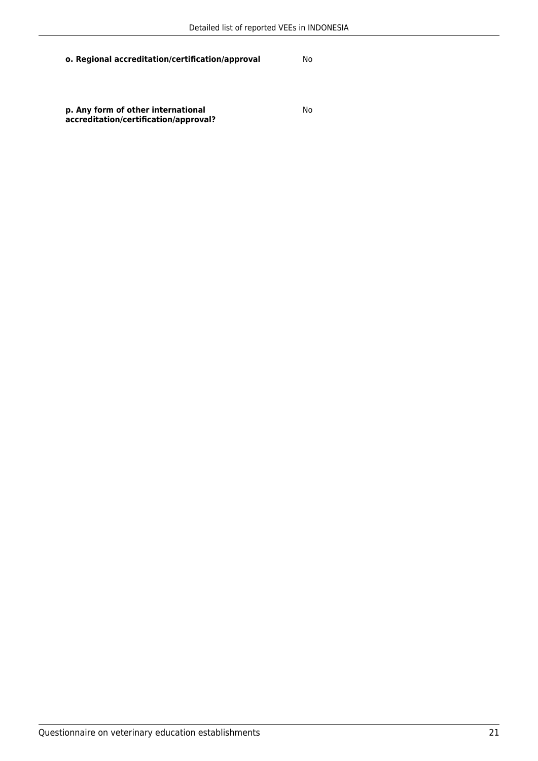**o. Regional accreditation/certification/approval** No

**p. Any form of other international accreditation/certification/approval?** No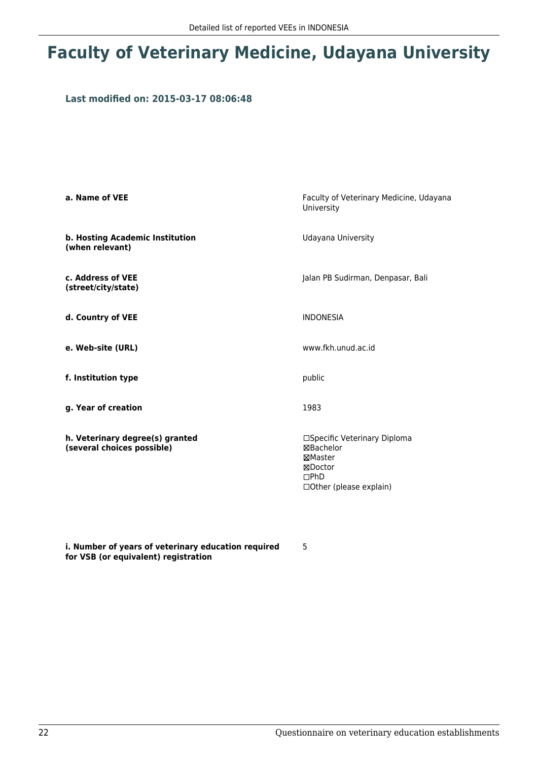## **Faculty of Veterinary Medicine, Udayana University**

### **Last modified on: 2015-03-17 08:06:48**

| a. Name of VEE                                                | Faculty of Veterinary Medicine, Udayana<br>University                                                          |
|---------------------------------------------------------------|----------------------------------------------------------------------------------------------------------------|
| b. Hosting Academic Institution<br>(when relevant)            | Udayana University                                                                                             |
| c. Address of VEE<br>(street/city/state)                      | Jalan PB Sudirman, Denpasar, Bali                                                                              |
| d. Country of VEE                                             | <b>INDONESIA</b>                                                                                               |
| e. Web-site (URL)                                             | www.fkh.unud.ac.id                                                                                             |
| f. Institution type                                           | public                                                                                                         |
| g. Year of creation                                           | 1983                                                                                                           |
| h. Veterinary degree(s) granted<br>(several choices possible) | □Specific Veterinary Diploma<br>⊠Bachelor<br>⊠Master<br>⊠Doctor<br>$\Box$ PhD<br>$\Box$ Other (please explain) |

**i. Number of years of veterinary education required for VSB (or equivalent) registration**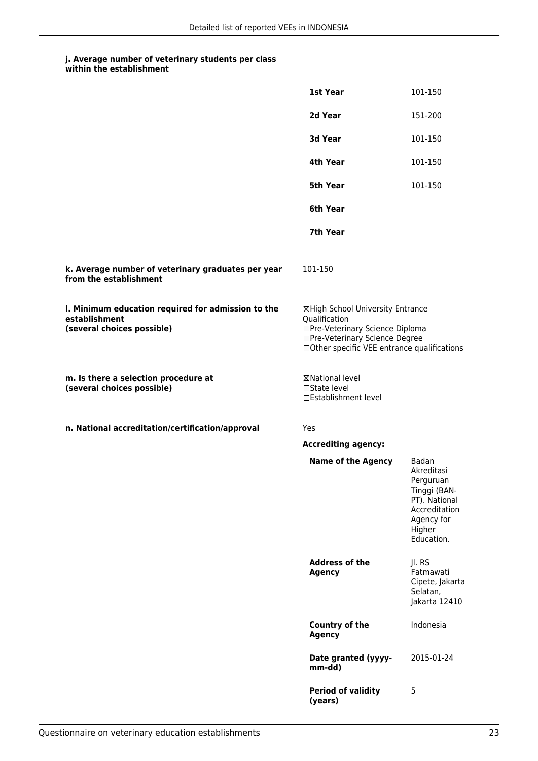|                                                                                                   | 1st Year                                                                                                                                                              | 101-150                                                                                                                  |
|---------------------------------------------------------------------------------------------------|-----------------------------------------------------------------------------------------------------------------------------------------------------------------------|--------------------------------------------------------------------------------------------------------------------------|
|                                                                                                   | 2d Year                                                                                                                                                               | 151-200                                                                                                                  |
|                                                                                                   | 3d Year                                                                                                                                                               | 101-150                                                                                                                  |
|                                                                                                   | 4th Year                                                                                                                                                              | 101-150                                                                                                                  |
|                                                                                                   | 5th Year                                                                                                                                                              | 101-150                                                                                                                  |
|                                                                                                   | 6th Year                                                                                                                                                              |                                                                                                                          |
|                                                                                                   | 7th Year                                                                                                                                                              |                                                                                                                          |
| k. Average number of veterinary graduates per year<br>from the establishment                      | 101-150                                                                                                                                                               |                                                                                                                          |
| I. Minimum education required for admission to the<br>establishment<br>(several choices possible) | ⊠High School University Entrance<br>Qualification<br>□Pre-Veterinary Science Diploma<br>□Pre-Veterinary Science Degree<br>□Other specific VEE entrance qualifications |                                                                                                                          |
| m. Is there a selection procedure at<br>(several choices possible)                                | ⊠National level<br>□State level<br>□Establishment level                                                                                                               |                                                                                                                          |
| n. National accreditation/certification/approval                                                  | Yes                                                                                                                                                                   |                                                                                                                          |
|                                                                                                   | <b>Accrediting agency:</b>                                                                                                                                            |                                                                                                                          |
|                                                                                                   | <b>Name of the Agency</b>                                                                                                                                             | Badan<br>Akreditasi<br>Perguruan<br>Tinggi (BAN-<br>PT). National<br>Accreditation<br>Agency for<br>Higher<br>Education. |
|                                                                                                   | <b>Address of the</b><br><b>Agency</b>                                                                                                                                | Jl. RS<br>Fatmawati<br>Cipete, Jakarta<br>Selatan,<br>Jakarta 12410                                                      |
|                                                                                                   | <b>Country of the</b><br><b>Agency</b>                                                                                                                                | Indonesia                                                                                                                |
|                                                                                                   | Date granted (yyyy-<br>mm-dd)                                                                                                                                         | 2015-01-24                                                                                                               |
|                                                                                                   | <b>Period of validity</b><br>(years)                                                                                                                                  | 5                                                                                                                        |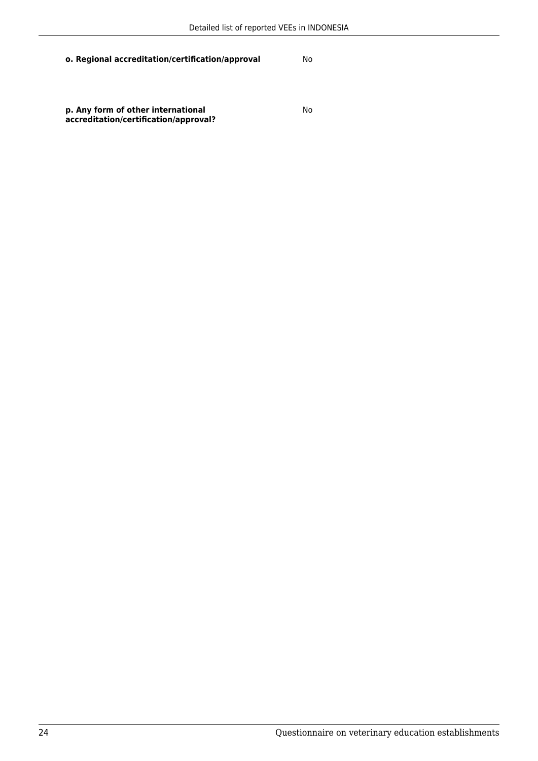**o. Regional accreditation/certification/approval** No

**p. Any form of other international accreditation/certification/approval?** No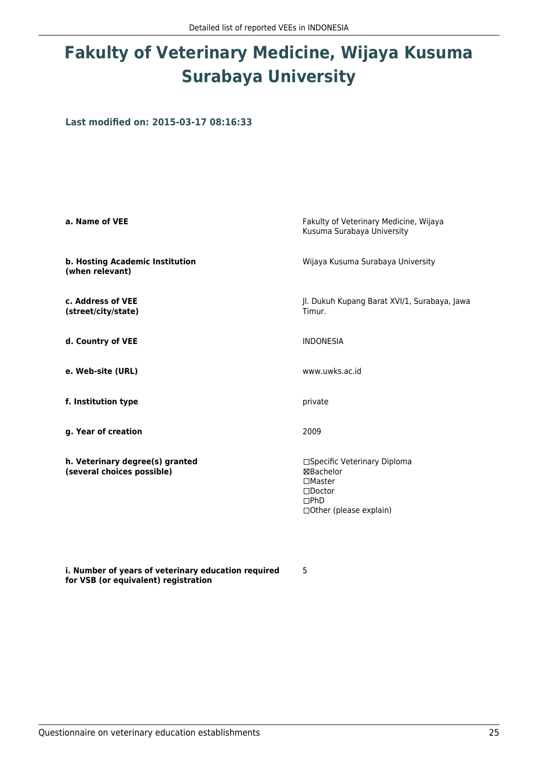# **Fakulty of Veterinary Medicine, Wijaya Kusuma Surabaya University**

**Last modified on: 2015-03-17 08:16:33**

| a. Name of VEE                                                | Fakulty of Veterinary Medicine, Wijaya<br>Kusuma Surabaya University                                                     |
|---------------------------------------------------------------|--------------------------------------------------------------------------------------------------------------------------|
| b. Hosting Academic Institution<br>(when relevant)            | Wijaya Kusuma Surabaya University                                                                                        |
| c. Address of VEE<br>(street/city/state)                      | Jl. Dukuh Kupang Barat XVI/1, Surabaya, Jawa<br>Timur.                                                                   |
| d. Country of VEE                                             | <b>INDONESIA</b>                                                                                                         |
| e. Web-site (URL)                                             | www.uwks.ac.id                                                                                                           |
| f. Institution type                                           | private                                                                                                                  |
| g. Year of creation                                           | 2009                                                                                                                     |
| h. Veterinary degree(s) granted<br>(several choices possible) | □Specific Veterinary Diploma<br>⊠Bachelor<br>$\square$ Master<br>$\Box$ Doctor<br>$\Box$ PhD<br>□ Other (please explain) |

5

**i. Number of years of veterinary education required for VSB (or equivalent) registration**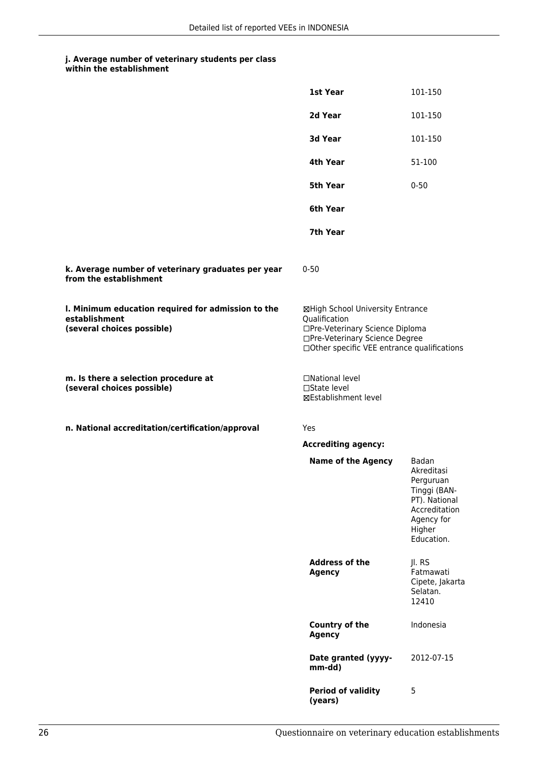|                                                                                                   | 1st Year                                                                                                                                                              | 101-150                                                                                                                  |
|---------------------------------------------------------------------------------------------------|-----------------------------------------------------------------------------------------------------------------------------------------------------------------------|--------------------------------------------------------------------------------------------------------------------------|
|                                                                                                   | 2d Year                                                                                                                                                               | 101-150                                                                                                                  |
|                                                                                                   | 3d Year                                                                                                                                                               | 101-150                                                                                                                  |
|                                                                                                   | 4th Year                                                                                                                                                              | 51-100                                                                                                                   |
|                                                                                                   | <b>5th Year</b>                                                                                                                                                       | $0 - 50$                                                                                                                 |
|                                                                                                   | 6th Year                                                                                                                                                              |                                                                                                                          |
|                                                                                                   | 7th Year                                                                                                                                                              |                                                                                                                          |
| k. Average number of veterinary graduates per year<br>from the establishment                      | $0 - 50$                                                                                                                                                              |                                                                                                                          |
| I. Minimum education required for admission to the<br>establishment<br>(several choices possible) | ⊠High School University Entrance<br>Qualification<br>□Pre-Veterinary Science Diploma<br>□Pre-Veterinary Science Degree<br>□Other specific VEE entrance qualifications |                                                                                                                          |
| m. Is there a selection procedure at<br>(several choices possible)                                | □National level<br>□State level<br>⊠Establishment level                                                                                                               |                                                                                                                          |
| n. National accreditation/certification/approval                                                  | Yes                                                                                                                                                                   |                                                                                                                          |
|                                                                                                   | <b>Accrediting agency:</b>                                                                                                                                            |                                                                                                                          |
|                                                                                                   | <b>Name of the Agency</b>                                                                                                                                             | Badan<br>Akreditasi<br>Perguruan<br>Tinggi (BAN-<br>PT). National<br>Accreditation<br>Agency for<br>Higher<br>Education. |
|                                                                                                   | <b>Address of the</b><br><b>Agency</b>                                                                                                                                | Jl. RS<br>Fatmawati<br>Cipete, Jakarta<br>Selatan.<br>12410                                                              |
|                                                                                                   | Country of the<br><b>Agency</b>                                                                                                                                       | Indonesia                                                                                                                |
|                                                                                                   | Date granted (yyyy-<br>mm-dd)                                                                                                                                         | 2012-07-15                                                                                                               |
|                                                                                                   | <b>Period of validity</b><br>(years)                                                                                                                                  | 5                                                                                                                        |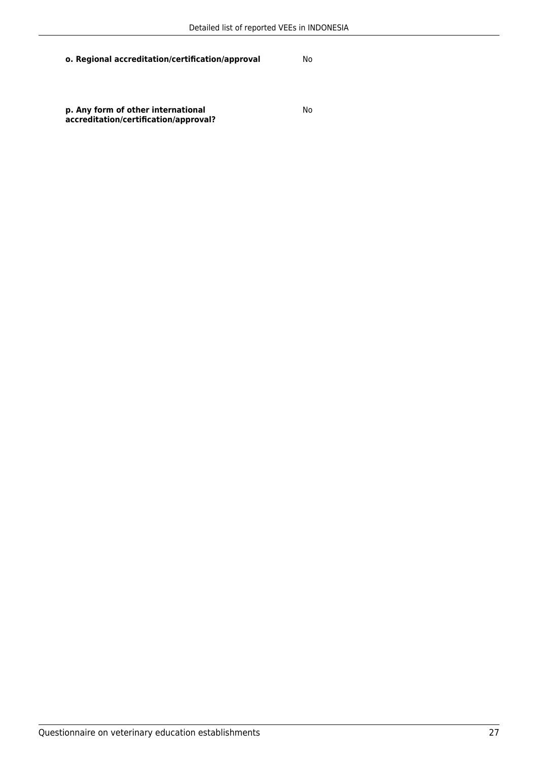**o. Regional accreditation/certification/approval** No

**p. Any form of other international accreditation/certification/approval?** No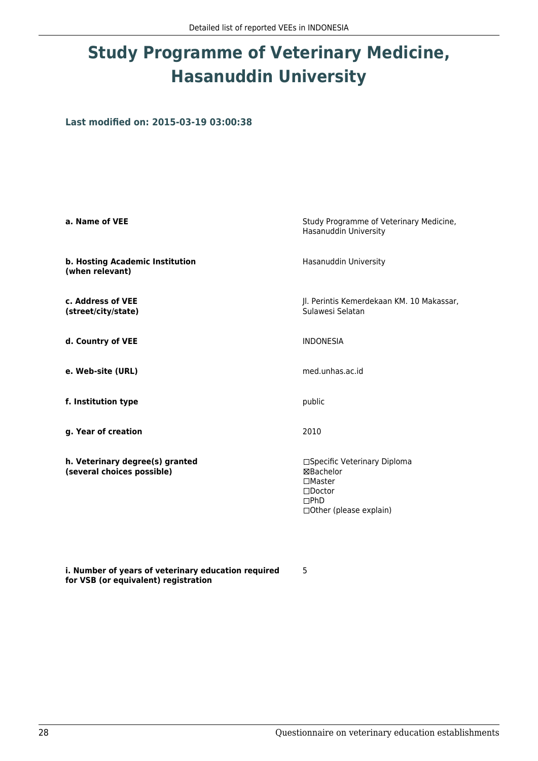# **Study Programme of Veterinary Medicine, Hasanuddin University**

**Last modified on: 2015-03-19 03:00:38**

| a. Name of VEE                                                | Study Programme of Veterinary Medicine,<br>Hasanuddin University                                                                        |
|---------------------------------------------------------------|-----------------------------------------------------------------------------------------------------------------------------------------|
| b. Hosting Academic Institution<br>(when relevant)            | Hasanuddin University                                                                                                                   |
| c. Address of VEE<br>(street/city/state)                      | Jl. Perintis Kemerdekaan KM. 10 Makassar,<br>Sulawesi Selatan                                                                           |
| d. Country of VEE                                             | <b>INDONESIA</b>                                                                                                                        |
| e. Web-site (URL)                                             | med.unhas.ac.id                                                                                                                         |
| f. Institution type                                           | public                                                                                                                                  |
| g. Year of creation                                           | 2010                                                                                                                                    |
| h. Veterinary degree(s) granted<br>(several choices possible) | □Specific Veterinary Diploma<br><b>⊠Bachelor</b><br>$\square$ Master<br>$\square$ Doctor<br>$\Box$ PhD<br>$\Box$ Other (please explain) |

5

**i. Number of years of veterinary education required for VSB (or equivalent) registration**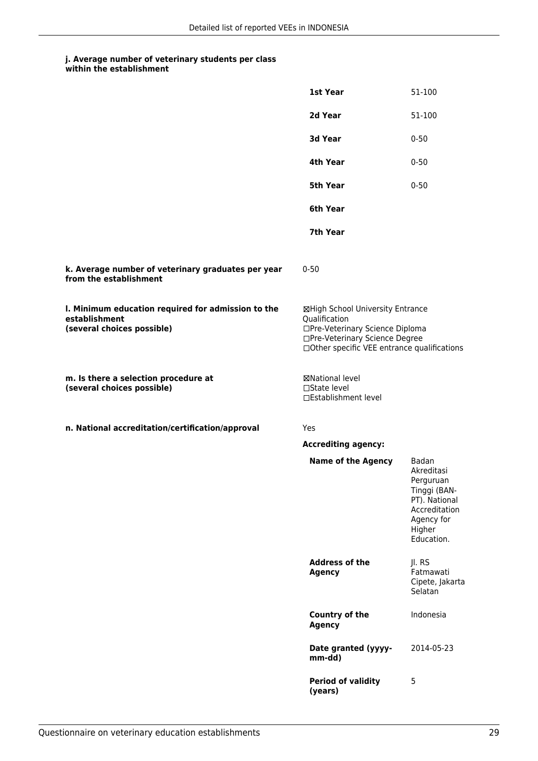|  | within the establishment |
|--|--------------------------|
|--|--------------------------|

|                                                                                                   | 1st Year                                                                                                                                                              | 51-100                                                                                                                   |
|---------------------------------------------------------------------------------------------------|-----------------------------------------------------------------------------------------------------------------------------------------------------------------------|--------------------------------------------------------------------------------------------------------------------------|
|                                                                                                   | 2d Year                                                                                                                                                               | 51-100                                                                                                                   |
|                                                                                                   | 3d Year                                                                                                                                                               | $0 - 50$                                                                                                                 |
|                                                                                                   | 4th Year                                                                                                                                                              | $0 - 50$                                                                                                                 |
|                                                                                                   | 5th Year                                                                                                                                                              | $0 - 50$                                                                                                                 |
|                                                                                                   | 6th Year                                                                                                                                                              |                                                                                                                          |
|                                                                                                   | 7th Year                                                                                                                                                              |                                                                                                                          |
| k. Average number of veterinary graduates per year<br>from the establishment                      | $0 - 50$                                                                                                                                                              |                                                                                                                          |
| I. Minimum education required for admission to the<br>establishment<br>(several choices possible) | ⊠High School University Entrance<br>Qualification<br>□Pre-Veterinary Science Diploma<br>□Pre-Veterinary Science Degree<br>□Other specific VEE entrance qualifications |                                                                                                                          |
| m. Is there a selection procedure at<br>(several choices possible)                                | <b>⊠National level</b><br>□State level<br>□Establishment level                                                                                                        |                                                                                                                          |
| n. National accreditation/certification/approval                                                  | Yes                                                                                                                                                                   |                                                                                                                          |
|                                                                                                   | <b>Accrediting agency:</b>                                                                                                                                            |                                                                                                                          |
|                                                                                                   | <b>Name of the Agency</b>                                                                                                                                             | Badan<br>Akreditasi<br>Perguruan<br>Tinggi (BAN-<br>PT). National<br>Accreditation<br>Agency for<br>Higher<br>Education. |
|                                                                                                   | <b>Address of the</b><br><b>Agency</b>                                                                                                                                | Jl. RS<br>Fatmawati<br>Cipete, Jakarta<br>Selatan                                                                        |
|                                                                                                   | Country of the<br><b>Agency</b>                                                                                                                                       | Indonesia                                                                                                                |
|                                                                                                   | Date granted (yyyy-<br>mm-dd)                                                                                                                                         | 2014-05-23                                                                                                               |
|                                                                                                   | <b>Period of validity</b><br>(years)                                                                                                                                  | 5                                                                                                                        |